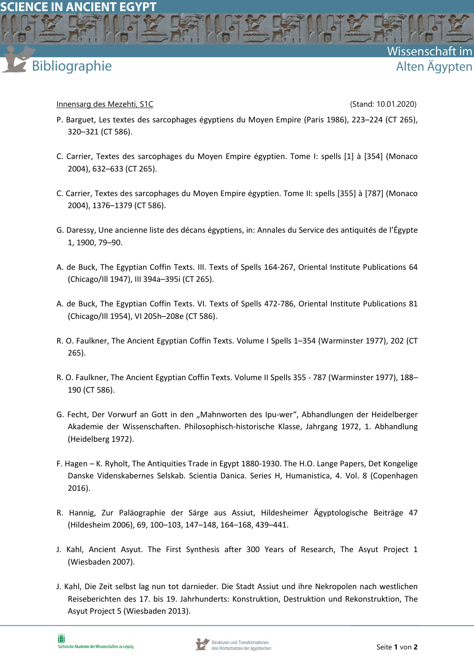## **Bibliographie**

Innensarg des Mezehti, S1C and Stand: 10.01.2020)

Wissenschaft

Alten Ägypten

- P. Barguet, Les textes des sarcophages égyptiens du Moyen Empire (Paris 1986), 223–224 (CT 265), 320–321 (CT 586).
- C. Carrier, Textes des sarcophages du Moyen Empire égyptien. Tome I: spells [1] à [354] (Monaco 2004), 632–633 (CT 265).
- C. Carrier, Textes des sarcophages du Moyen Empire égyptien. Tome II: spells [355] à [787] (Monaco 2004), 1376–1379 (CT 586).
- G. Daressy, Une ancienne liste des décans égyptiens, in: Annales du Service des antiquités de l'Égypte 1, 1900, 79–90.
- A. de Buck, The Egyptian Coffin Texts. III. Texts of Spells 164-267, Oriental Institute Publications 64 (Chicago/Ill 1947), III 394a–395i (CT 265).
- A. de Buck, The Egyptian Coffin Texts. VI. Texts of Spells 472-786, Oriental Institute Publications 81 (Chicago/Ill 1954), VI 205h–208e (CT 586).
- R. O. Faulkner, The Ancient Egyptian Coffin Texts. Volume I Spells 1–354 (Warminster 1977), 202 (CT 265).
- R. O. Faulkner, The Ancient Egyptian Coffin Texts. Volume II Spells 355 787 (Warminster 1977), 188– 190 (CT 586).
- G. Fecht, Der Vorwurf an Gott in den "Mahnworten des Ipu-wer", Abhandlungen der Heidelberger Akademie der Wissenschaften. Philosophisch-historische Klasse, Jahrgang 1972, 1. Abhandlung (Heidelberg 1972).
- F. Hagen K. Ryholt, The Antiquities Trade in Egypt 1880-1930. The H.O. Lange Papers, Det Kongelige Danske Videnskabernes Selskab. Scientia Danica. Series H, Humanistica, 4. Vol. 8 (Copenhagen 2016).
- R. Hannig, Zur Paläographie der Särge aus Assiut, Hildesheimer Ägyptologische Beiträge 47 (Hildesheim 2006), 69, 100–103, 147–148, 164–168, 439–441.
- J. Kahl, Ancient Asyut. The First Synthesis after 300 Years of Research, The Asyut Project 1 (Wiesbaden 2007).
- J. Kahl, Die Zeit selbst lag nun tot darnieder. Die Stadt Assiut und ihre Nekropolen nach westlichen Reiseberichten des 17. bis 19. Jahrhunderts: Konstruktion, Destruktion und Rekonstruktion, The Asyut Project 5 (Wiesbaden 2013).